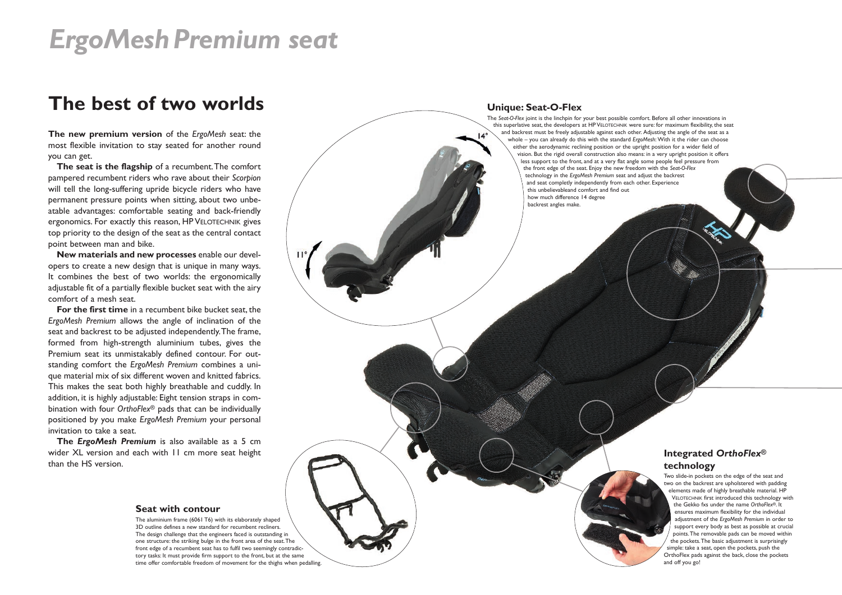# *ErgoMeshPremium seat*

## **The best of two worlds**

**The new premium version** of the *ErgoMesh* seat: the most flexible invitation to stay seated for another round you can get.

**The seat is the flagship** of a recumbent.The comfort pampered recumbent riders who rave about their *Scorpion* will tell the long-suffering upride bicycle riders who have permanent pressure points when sitting, about two unbeatable advantages: comfortable seating and back-friendly ergonomics. For exactly this reason, HP VELOTECHNIK gives top priority to the design of the seat as the central contact point between man and bike.

**New materials and new processes** enable our developers to create a new design that is unique in many ways. It combines the best of two worlds: the ergonomically adjustable fit of a partially flexible bucket seat with the airy comfort of a mesh seat.

**For the first time** in a recumbent bike bucket seat, the *ErgoMesh Premium* allows the angle of inclination of the seat and backrest to be adjusted independently.The frame, formed from high-strength aluminium tubes, gives the Premium seat its unmistakably defined contour. For outstanding comfort the *ErgoMesh Premium* combines a unique material mix of six different woven and knitted fabrics. This makes the seat both highly breathable and cuddly. In addition, it is highly adjustable: Eight tension straps in combination with four *OrthoFlex*® pads that can be individually positioned by you make *ErgoMesh Premium* your personal invitation to take a seat.

**The** *ErgoMesh Premium* is also available as a 5 cm wider XL version and each with 11 cm more seat height than the HS version.

#### **Seat with contour**

The aluminium frame (6061 T6) with its elaborately shaped 3D outline defines a new standard for recumbent recliners. The design challenge that the engineers faced is outstanding in one structure: the striking bulge in the front area of the seat.The front edge of a recumbent seat has to fulfil two seemingly contradictory tasks: It must provide firm support to the front, but at the same time offer comfortable freedom of movement for the thighs when pedalling.

#### **Unique: Seat-O-Flex**

The *Seat-O-Flex* joint is the linchpin for your best possible comfort. Before all other innovations in this superlative seat, the developers at HP VELOTECHNIK were sure: for maximum flexibility, the seat and backrest must be freely adjustable against each other. Adjusting the angle of the seat as a whole – you can already do this with the standard *ErgoMesh*: With it the rider can choose either the aerodynamic reclining position or the upright position for a wider field of vision. But the rigid overall construction also means: in a very upright position it offers less support to the front, and at a very flat angle some people feel pressure from the front edge of the seat. Enjoy the new freedom with the *Seat-O-Flex* technology in the *ErgoMesh Premium* seat and adjust the backrest and seat completly independently from each other. Experience this unbelievableand comfort and find out how much difference 14 degree backrest angles make.

#### **Integrated** *OrthoFlex***® technology**

Two slide-in pockets on the edge of the seat and two on the backrest are upholstered with padding elements made of highly breathable material. HP VELOTECHNIK first introduced this technology with the Gekko fxs under the name *OrthoFlex*®. It ensures maximum flexibility for the individual adjustment of the *ErgoMesh Premium* in order to support every body as best as possible at crucial points.The removable pads can be moved within the pockets.The basic adjustment is surprisingly simple: take a seat, open the pockets, push the OrthoFlex pads against the back, close the pockets and off you go!